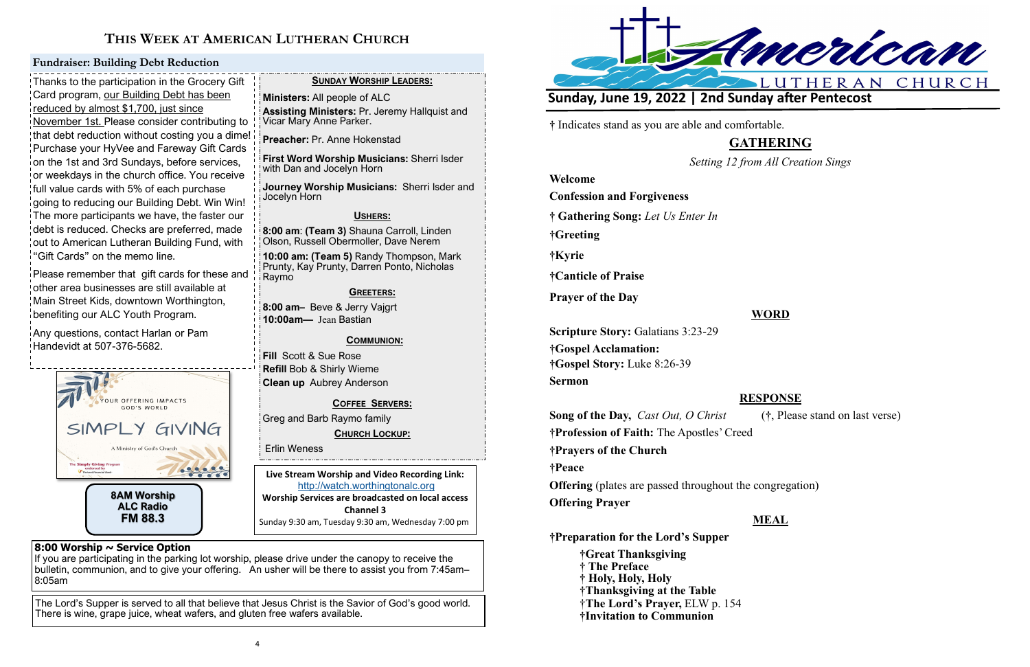

# **THIS WEEK AT AMERICAN LUTHERAN CHURCH**

**Live Stream Worship and Video Recording Link:**  <http://watch.worthingtonalc.org> **Worship Services are broadcasted on local access Channel 3** Sunday 9:30 am, Tuesday 9:30 am, Wednesday 7:00 pm

### **8:00 Worship ~ Service Option**

If you are participating in the parking lot worship, please drive under the canopy to receive the bulletin, communion, and to give your offering. An usher will be there to assist you from 7:45am– 8:05am

The Lord's Supper is served to all that believe that Jesus Christ is the Savior of God's good world. There is wine, grape juice, wheat wafers, and gluten free wafers available.

Thanks to the participation in the Grocery Gift Card program, our Building Debt has been reduced by almost \$1,700, just since November 1st. Please consider contributing to that debt reduction without costing you a dime! Purchase your HyVee and Fareway Gift Cards on the 1st and 3rd Sundays, before services, or weekdays in the church office. You receive full value cards with 5% of each purchase going to reducing our Building Debt. Win Win! The more participants we have, the faster our debt is reduced. Checks are preferred, made out to American Lutheran Building Fund, with "Gift Cards" on the memo line.

Please remember that gift cards for these and other area businesses are still available at Main Street Kids, downtown Worthington, benefiting our ALC Youth Program.

Any questions, contact Harlan or Pam Handevidt at 507-376-5682.

### **Fundraiser: Building Debt Reduction**

## **SUNDAY WORSHIP LEADERS:**

**Ministers:** All people of ALC

**Assisting Ministers:** Pr. Jeremy Hallquist and Vicar Mary Anne Parker.

**Preacher:** Pr. Anne Hokenstad

**First Word Worship Musicians:** Sherri Isder with Dan and Jocelyn Horn

**Journey Worship Musicians:** Sherri Isder and Jocelyn Horn

### **USHERS:**

**8:00 am**: **(Team 3)** Shauna Carroll, Linden Olson, Russell Obermoller, Dave Nerem

**10:00 am: (Team 5)** Randy Thompson, Mark Prunty, Kay Prunty, Darren Ponto, Nicholas Raymo

### **GREETERS:**

**8:00 am–** Beve & Jerry Vajgrt **10:00am—** Jean Bastian

### **COMMUNION:**

**Fill** Scott & Sue Rose **Refill** Bob & Shirly Wieme **Clean up** Aubrey Anderson

**COFFEE SERVERS:** 

Greg and Barb Raymo family

**CHURCH LOCKUP:**

Erlin Weness



**†** Indicates stand as you are able and comfortable.

# **GATHERING**

*Setting 12 from All Creation Sings*

**Welcome**

**Confession and Forgiveness**

**† Gathering Song:** *Let Us Enter In*

**†Greeting**

**†Kyrie**

**†Canticle of Praise**

**Prayer of the Day**

**WORD**

**Scripture Story:** Galatians 3:23-29 **†Gospel Acclamation: †Gospel Story:** Luke 8:26-39 **Sermon**

## **RESPONSE**

**Song of the Day,** *Cast Out, O Christ* (**†**, Please stand on last verse) **†Profession of Faith:** The Apostles' Creed **†Prayers of the Church †Peace Offering** (plates are passed throughout the congregation) **Offering Prayer**

**MEAL**

**†Preparation for the Lord's Supper**

**†Great Thanksgiving † The Preface † Holy, Holy, Holy †Thanksgiving at the Table** †**The Lord's Prayer,** ELW p. 154 **†Invitation to Communion**